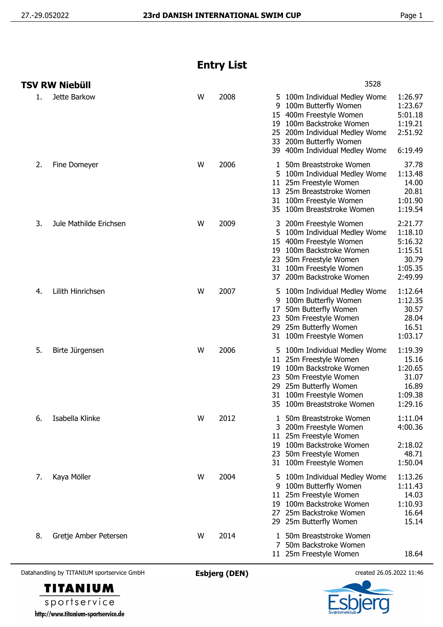## **Entry List**

|    | TSV RW Niebüll         |   |      | 3528                                                                                                                                                                                                                                                                                           |
|----|------------------------|---|------|------------------------------------------------------------------------------------------------------------------------------------------------------------------------------------------------------------------------------------------------------------------------------------------------|
| 1. | Jette Barkow           | W | 2008 | 1:26.97<br>5 100m Individual Medley Wome<br>1:23.67<br>100m Butterfly Women<br>9<br>400m Freestyle Women<br>5:01.18<br>15<br>100m Backstroke Women<br>1:19.21<br>19<br>2:51.92<br>200m Individual Medley Wome<br>25<br>200m Butterfly Women<br>33<br>39 400m Individual Medley Wome<br>6:19.49 |
| 2. | Fine Domeyer           | W | 2006 | 50m Breaststroke Women<br>37.78<br>1<br>1:13.48<br>5 100m Individual Medley Wome<br>14.00<br>11 25m Freestyle Women<br>20.81<br>13 25m Breaststroke Women<br>31 100m Freestyle Women<br>1:01.90<br>1:19.54<br>35 100m Breaststroke Women                                                       |
| 3. | Jule Mathilde Erichsen | W | 2009 | 2:21.77<br>200m Freestyle Women<br>3<br>1:18.10<br>5 100m Individual Medley Wome<br>15 400m Freestyle Women<br>5:16.32<br>100m Backstroke Women<br>1:15.51<br>19<br>50m Freestyle Women<br>30.79<br>23<br>31 100m Freestyle Women<br>1:05.35<br>2:49.99<br>37 200m Backstroke Women            |
| 4. | Lilith Hinrichsen      | W | 2007 | 1:12.64<br>100m Individual Medley Wome<br>5.<br>100m Butterfly Women<br>1:12.35<br>9<br>50m Butterfly Women<br>30.57<br>17<br>28.04<br>50m Freestyle Women<br>23<br>29 25m Butterfly Women<br>16.51<br>1:03.17<br>31 100m Freestyle Women                                                      |
| 5. | Birte Jürgensen        | W | 2006 | 1:19.39<br>100m Individual Medley Wome<br>25m Freestyle Women<br>15.16<br>11<br>1:20.65<br>100m Backstroke Women<br>19<br>31.07<br>50m Freestyle Women<br>23<br>25m Butterfly Women<br>16.89<br>29<br>31 100m Freestyle Women<br>1:09.38<br>100m Breaststroke Women<br>1:29.16<br>35           |
| 6. | Isabella Klinke        | W | 2012 | 50m Breaststroke Women<br>1:11.04<br>1.<br>4:00.36<br>200m Freestyle Women<br>25m Freestyle Women<br>11 <sup>1</sup><br>2:18.02<br>19 100m Backstroke Women<br>48.71<br>50m Freestyle Women<br>23<br>1:50.04<br>31 100m Freestyle Women                                                        |
| 7. | Kaya Möller            | W | 2004 | 1:13.26<br>100m Individual Medley Wome<br>5<br>1:11.43<br>9<br>100m Butterfly Women<br>11 25m Freestyle Women<br>14.03<br>19 100m Backstroke Women<br>1:10.93<br>25m Backstroke Women<br>16.64<br>27<br>15.14<br>29 25m Butterfly Women                                                        |
| 8. | Gretje Amber Petersen  | W | 2014 | 50m Breaststroke Women<br>1<br>50m Backstroke Women<br>7<br>11 25m Freestyle Women<br>18.64                                                                                                                                                                                                    |

Datahandling by TITANIUM sportservice GmbH **Esbjerg (DEN)** created 26.05.2022 11:46



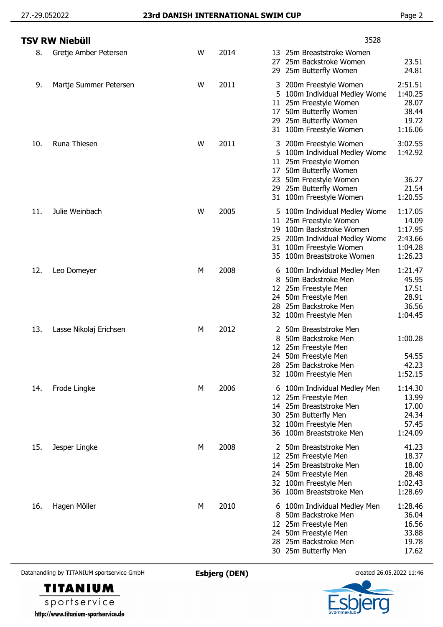|     | TSV RW Niebüll         |   |      | 3528                                                                                                                                                                                                                                                       |
|-----|------------------------|---|------|------------------------------------------------------------------------------------------------------------------------------------------------------------------------------------------------------------------------------------------------------------|
| 8.  | Gretje Amber Petersen  | W | 2014 | 25m Breaststroke Women<br>13<br>23.51<br>25m Backstroke Women<br>27<br>24.81<br>25m Butterfly Women<br>29                                                                                                                                                  |
| 9.  | Martje Summer Petersen | W | 2011 | 2:51.51<br>200m Freestyle Women<br>3<br>1:40.25<br>100m Individual Medley Wome<br>5<br>28.07<br>25m Freestyle Women<br>11<br>38.44<br>50m Butterfly Women<br>17<br>29 25m Butterfly Women<br>19.72<br>1:16.06<br>100m Freestyle Women<br>31                |
| 10. | Runa Thiesen           | W | 2011 | 3:02.55<br>200m Freestyle Women<br>3.<br>1:42.92<br>5 100m Individual Medley Wome<br>25m Freestyle Women<br>11<br>50m Butterfly Women<br>17<br>50m Freestyle Women<br>36.27<br>23<br>21.54<br>29 25m Butterfly Women<br>1:20.55<br>31 100m Freestyle Women |
| 11. | Julie Weinbach         | W | 2005 | 1:17.05<br>5 100m Individual Medley Wome<br>14.09<br>11<br>25m Freestyle Women<br>19 100m Backstroke Women<br>1:17.95<br>2:43.66<br>25 200m Individual Medley Wome<br>1:04.28<br>31 100m Freestyle Women<br>1:26.23<br>35 100m Breaststroke Women          |
| 12. | Leo Domeyer            | М | 2008 | 1:21.47<br>6 100m Individual Medley Men<br>45.95<br>50m Backstroke Men<br>8<br>17.51<br>12 25m Freestyle Men<br>28.91<br>24 50m Freestyle Men<br>28 25m Backstroke Men<br>36.56<br>1:04.45<br>32 100m Freestyle Men                                        |
| 13. | Lasse Nikolaj Erichsen | M | 2012 | 50m Breaststroke Men<br>1:00.28<br>50m Backstroke Men<br>8<br>12 25m Freestyle Men<br>24 50m Freestyle Men<br>54.55<br>28 25m Backstroke Men<br>42.23<br>1:52.15<br>32 100m Freestyle Men                                                                  |
| 14. | Frode Lingke           | М | 2006 | 1:14.30<br>6 100m Individual Medley Men<br>13.99<br>25m Freestyle Men<br>12<br>25m Breaststroke Men<br>17.00<br>14<br>24.34<br>25m Butterfly Men<br>30<br>57.45<br>32 100m Freestyle Men<br>1:24.09<br>36 100m Breaststroke Men                            |
| 15. | Jesper Lingke          | М | 2008 | 41.23<br>2 50m Breaststroke Men<br>18.37<br>12 25m Freestyle Men<br>18.00<br>14 25m Breaststroke Men<br>28.48<br>50m Freestyle Men<br>24<br>1:02.43<br>32 100m Freestyle Men<br>1:28.69<br>36 100m Breaststroke Men                                        |
| 16. | Hagen Möller           | М | 2010 | 1:28.46<br>100m Individual Medley Men<br>6<br>36.04<br>50m Backstroke Men<br>8<br>16.56<br>12 25m Freestyle Men<br>33.88<br>50m Freestyle Men<br>24<br>19.78<br>28 25m Backstroke Men<br>17.62<br>30 25m Butterfly Men                                     |

Datahandling by TITANIUM sportservice GmbH **Esbjerg (DEN)** created 26.05.2022 11:46





er g